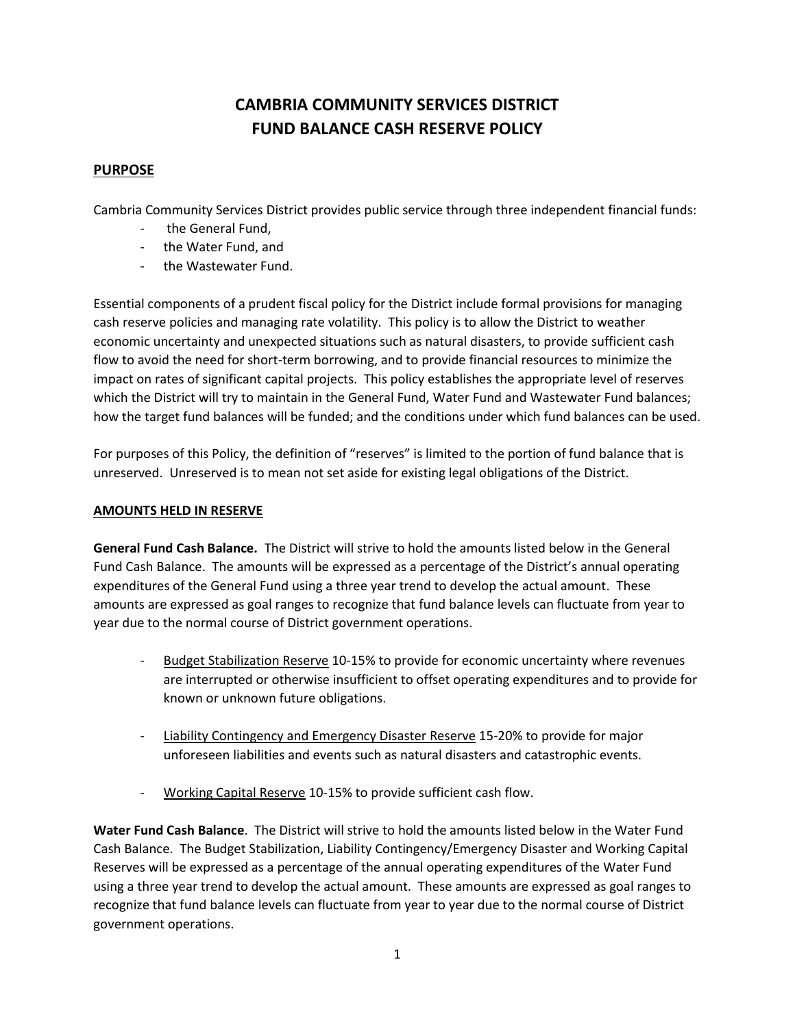# **CAMBRIA COMMUNITY SERVICES DISTRICT FUND BALANCE CASH RESERVE POLICY**

# **PURPOSE**

Cambria Community Services District provides public service through three independent financial funds:

- the General Fund,
- the Water Fund, and
- the Wastewater Fund.

Essential components of a prudent fiscal policy for the District include formal provisions for managing cash reserve policies and managing rate volatility. This policy is to allow the District to weather economic uncertainty and unexpected situations such as natural disasters, to provide sufficient cash flow to avoid the need for short-term borrowing, and to provide financial resources to minimize the impact on rates of significant capital projects. This policy establishes the appropriate level of reserves which the District will try to maintain in the General Fund, Water Fund and Wastewater Fund balances; how the target fund balances will be funded; and the conditions under which fund balances can be used.

For purposes of this Policy, the definition of "reserves" is limited to the portion of fund balance that is unreserved. Unreserved is to mean not set aside for existing legal obligations of the District.

### **AMOUNTS HELD IN RESERVE**

**General Fund Cash Balance.** The District will strive to hold the amounts listed below in the General Fund Cash Balance. The amounts will be expressed as a percentage of the District's annual operating expenditures of the General Fund using a three year trend to develop the actual amount. These amounts are expressed as goal ranges to recognize that fund balance levels can fluctuate from year to year due to the normal course of District government operations.

- Budget Stabilization Reserve 10-15% to provide for economic uncertainty where revenues are interrupted or otherwise insufficient to offset operating expenditures and to provide for known or unknown future obligations.
- Liability Contingency and Emergency Disaster Reserve 15-20% to provide for major unforeseen liabilities and events such as natural disasters and catastrophic events.
- Working Capital Reserve 10-15% to provide sufficient cash flow.

**Water Fund Cash Balance**. The District will strive to hold the amounts listed below in the Water Fund Cash Balance. The Budget Stabilization, Liability Contingency/Emergency Disaster and Working Capital Reserves will be expressed as a percentage of the annual operating expenditures of the Water Fund using a three year trend to develop the actual amount. These amounts are expressed as goal ranges to recognize that fund balance levels can fluctuate from year to year due to the normal course of District government operations.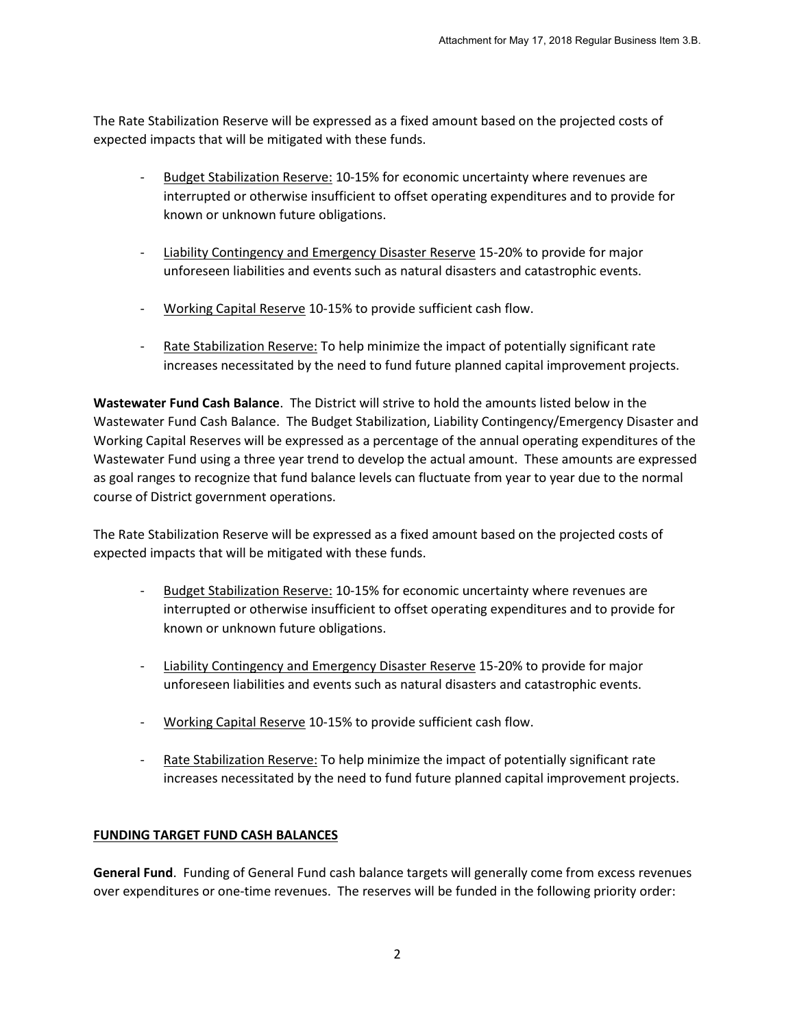The Rate Stabilization Reserve will be expressed as a fixed amount based on the projected costs of expected impacts that will be mitigated with these funds.

- Budget Stabilization Reserve: 10-15% for economic uncertainty where revenues are interrupted or otherwise insufficient to offset operating expenditures and to provide for known or unknown future obligations.
- Liability Contingency and Emergency Disaster Reserve 15-20% to provide for major unforeseen liabilities and events such as natural disasters and catastrophic events.
- Working Capital Reserve 10-15% to provide sufficient cash flow.
- Rate Stabilization Reserve: To help minimize the impact of potentially significant rate increases necessitated by the need to fund future planned capital improvement projects.

**Wastewater Fund Cash Balance**. The District will strive to hold the amounts listed below in the Wastewater Fund Cash Balance. The Budget Stabilization, Liability Contingency/Emergency Disaster and Working Capital Reserves will be expressed as a percentage of the annual operating expenditures of the Wastewater Fund using a three year trend to develop the actual amount. These amounts are expressed as goal ranges to recognize that fund balance levels can fluctuate from year to year due to the normal course of District government operations.

The Rate Stabilization Reserve will be expressed as a fixed amount based on the projected costs of expected impacts that will be mitigated with these funds.

- Budget Stabilization Reserve: 10-15% for economic uncertainty where revenues are interrupted or otherwise insufficient to offset operating expenditures and to provide for known or unknown future obligations.
- Liability Contingency and Emergency Disaster Reserve 15-20% to provide for major unforeseen liabilities and events such as natural disasters and catastrophic events.
- Working Capital Reserve 10-15% to provide sufficient cash flow.
- Rate Stabilization Reserve: To help minimize the impact of potentially significant rate increases necessitated by the need to fund future planned capital improvement projects.

## **FUNDING TARGET FUND CASH BALANCES**

**General Fund**. Funding of General Fund cash balance targets will generally come from excess revenues over expenditures or one-time revenues. The reserves will be funded in the following priority order: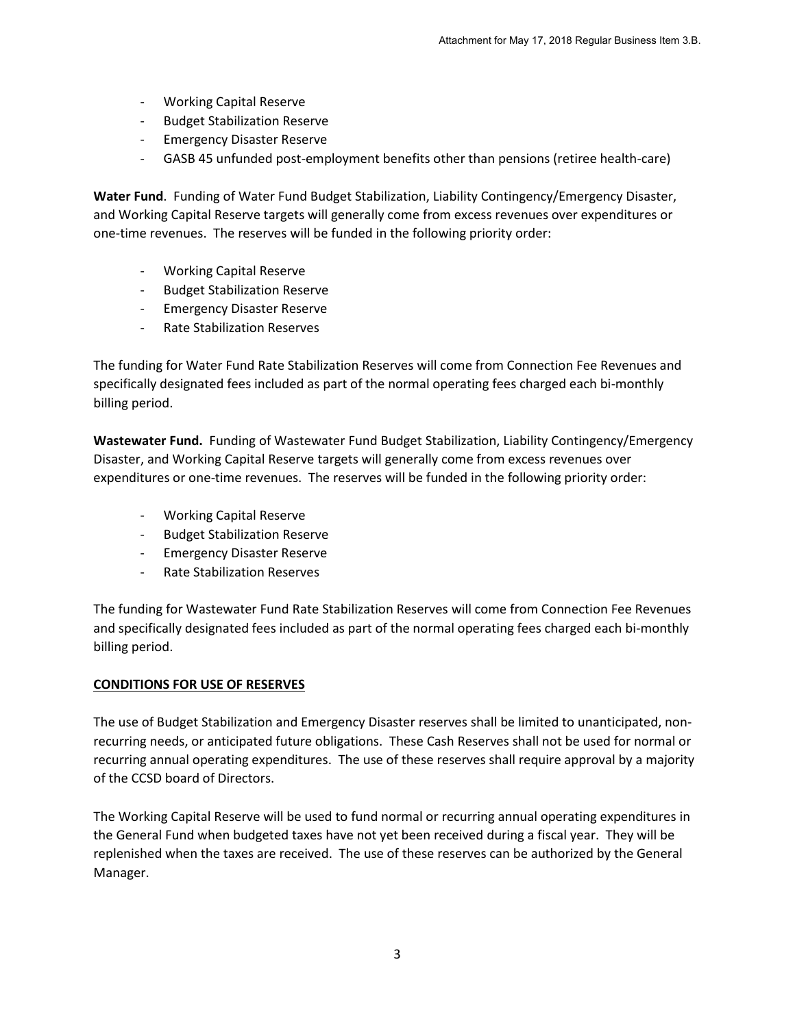- Working Capital Reserve
- Budget Stabilization Reserve
- Emergency Disaster Reserve
- GASB 45 unfunded post-employment benefits other than pensions (retiree health-care)

**Water Fund**. Funding of Water Fund Budget Stabilization, Liability Contingency/Emergency Disaster, and Working Capital Reserve targets will generally come from excess revenues over expenditures or one-time revenues. The reserves will be funded in the following priority order:

- Working Capital Reserve
- Budget Stabilization Reserve
- Emergency Disaster Reserve
- Rate Stabilization Reserves

The funding for Water Fund Rate Stabilization Reserves will come from Connection Fee Revenues and specifically designated fees included as part of the normal operating fees charged each bi-monthly billing period.

**Wastewater Fund.** Funding of Wastewater Fund Budget Stabilization, Liability Contingency/Emergency Disaster, and Working Capital Reserve targets will generally come from excess revenues over expenditures or one-time revenues. The reserves will be funded in the following priority order:

- Working Capital Reserve
- Budget Stabilization Reserve
- Emergency Disaster Reserve
- Rate Stabilization Reserves

The funding for Wastewater Fund Rate Stabilization Reserves will come from Connection Fee Revenues and specifically designated fees included as part of the normal operating fees charged each bi-monthly billing period.

#### **CONDITIONS FOR USE OF RESERVES**

The use of Budget Stabilization and Emergency Disaster reserves shall be limited to unanticipated, nonrecurring needs, or anticipated future obligations. These Cash Reserves shall not be used for normal or recurring annual operating expenditures. The use of these reserves shall require approval by a majority of the CCSD board of Directors.

The Working Capital Reserve will be used to fund normal or recurring annual operating expenditures in the General Fund when budgeted taxes have not yet been received during a fiscal year. They will be replenished when the taxes are received. The use of these reserves can be authorized by the General Manager.